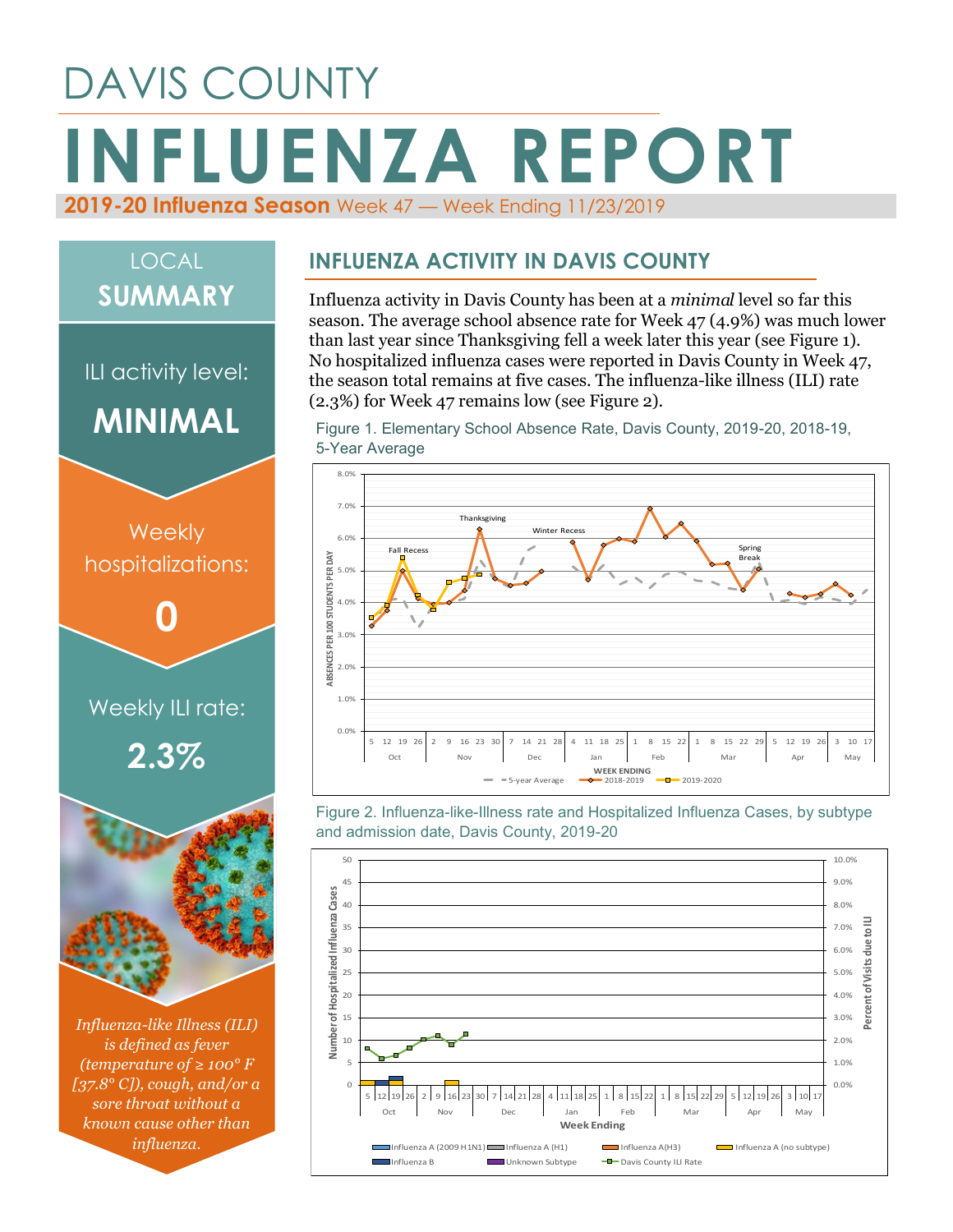# DAVIS COUNTY **INFLUENZA REPORT 2019-20 Influenza Season** Week 47 — Week Ending 11/23/2019

## LOCAL **SUMMARY**

ILI activity level:

**MINIMAL**



*is defined as fever (temperature of ≥ 100° F [37.8° C]), cough, and/or a sore throat without a known cause other than influenza.*

#### **INFLUENZA ACTIVITY IN DAVIS COUNTY**

Influenza activity in Davis County has been at a *minimal* level so far this season. The average school absence rate for Week 47 (4.9%) was much lower than last year since Thanksgiving fell a week later this year (see Figure 1). No hospitalized influenza cases were reported in Davis County in Week 47, the season total remains at five cases. The influenza-like illness (ILI) rate (2.3%) for Week 47 remains low (see Figure 2).

Figure 1. Elementary School Absence Rate, Davis County, 2019-20, 2018-19, 5-Year Average



Figure 2. Influenza-like-Illness rate and Hospitalized Influenza Cases, by subtype and admission date, Davis County, 2019-20